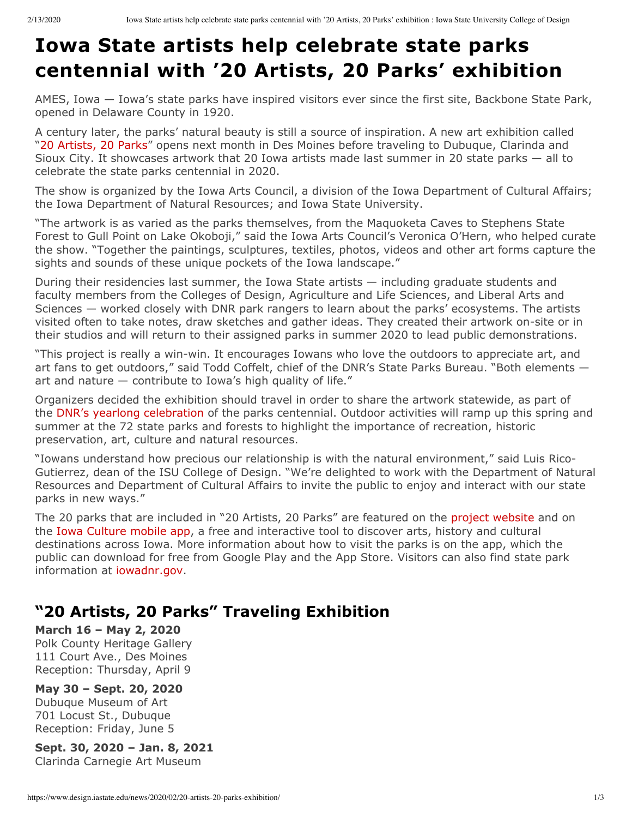# **Iowa State artists help celebrate state parks centennial with '20 Artists, 20 Parks' exhibition**

AMES, Iowa — Iowa's state parks have inspired visitors ever since the first site, Backbone State Park, opened in Delaware County in 1920.

A century later, the parks' natural beauty is still a source of inspiration. A new art exhibition called "[20 Artists, 20 Parks](https://iowaculture.gov/arts/get-involved/20-artists-20-parks)" opens next month in Des Moines before traveling to Dubuque, Clarinda and Sioux City. It showcases artwork that 20 Iowa artists made last summer in 20 state parks — all to celebrate the state parks centennial in 2020.

The show is organized by the Iowa Arts Council, a division of the Iowa Department of Cultural Affairs; the Iowa Department of Natural Resources; and Iowa State University.

"The artwork is as varied as the parks themselves, from the Maquoketa Caves to Stephens State Forest to Gull Point on Lake Okoboji," said the Iowa Arts Council's Veronica O'Hern, who helped curate the show. "Together the paintings, sculptures, textiles, photos, videos and other art forms capture the sights and sounds of these unique pockets of the Iowa landscape."

During their residencies last summer, the Iowa State artists — including graduate students and faculty members from the Colleges of Design, Agriculture and Life Sciences, and Liberal Arts and Sciences — worked closely with DNR park rangers to learn about the parks' ecosystems. The artists visited often to take notes, draw sketches and gather ideas. They created their artwork on-site or in their studios and will return to their assigned parks in summer 2020 to lead public demonstrations.

"This project is really a win-win. It encourages Iowans who love the outdoors to appreciate art, and art fans to get outdoors," said Todd Coffelt, chief of the DNR's State Parks Bureau. "Both elements art and nature  $-$  contribute to Iowa's high quality of life."

Organizers decided the exhibition should travel in order to share the artwork statewide, as part of the DNR's yearlong celebration of the parks centennial. Outdoor activities will ramp up this spring and summer at the 72 state parks and forests to highlight the importance of recreation, historic preservation, art, culture and natural resources.

"Iowans understand how precious our relationship is with the natural environment," said Luis Rico-Gutierrez, dean of the ISU College of Design. "We're delighted to work with the Department of Natural Resources and Department of Cultural Affairs to invite the public to enjoy and interact with our state parks in new ways."

The 20 parks that are included in "20 Artists, 20 Parks" are featured on the [project website](https://iowaculture.gov/arts/get-involved/20-artists-20-parks) and on the [Iowa Culture mobile app](https://iowaculture.gov/app), a free and interactive tool to discover arts, history and cultural destinations across Iowa. More information about how to visit the parks is on the app, which the public can download for free from Google Play and the App Store. Visitors can also find state park information at [iowadnr.gov](http://iowadnr.gov/).

## **"20 Artists, 20 Parks" Traveling Exhibition**

Polk County Heritage Gallery 111 Court Ave., Des Moines Reception: Thursday, April 9 **March 16 – May 2, 2020**

#### **May 30 – Sept. 20, 2020**

Dubuque Museum of Art 701 Locust St., Dubuque Reception: Friday, June 5

### **Sept. 30, 2020 – Jan. 8, 2021**

Clarinda Carnegie Art Museum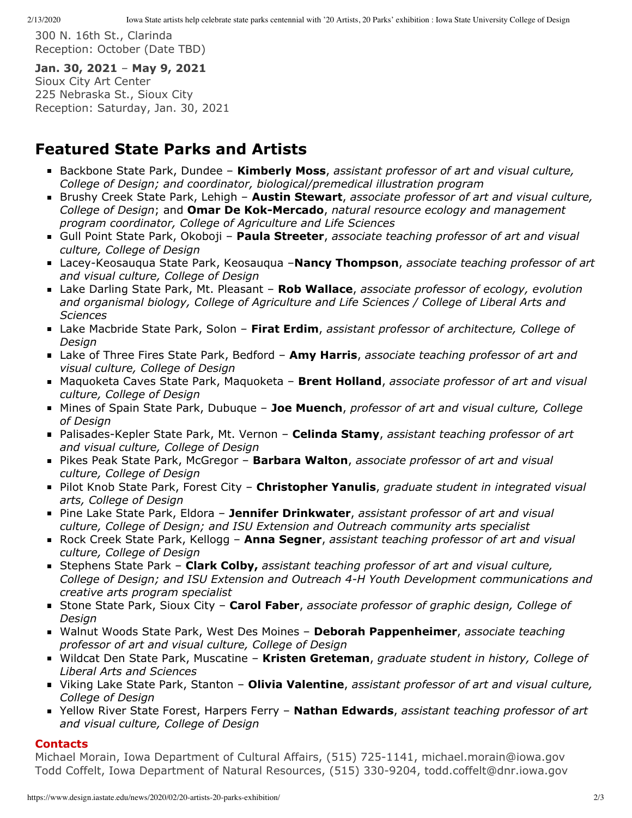300 N. 16th St., Clarinda Reception: October (Date TBD)

#### Jan. 30, 2021 - May 9, 2021

Sioux City Art Center 225 Nebraska St., Sioux City Reception: Saturday, Jan. 30, 2021

### **Featured State Parks and Artists**

- Backbone State Park, Dundee **Kimberly Moss**, *assistant professor of art and visual culture, College of Design; and coordinator, biological/premedical illustration program*
- Brushy Creek State Park, Lehigh **Austin Stewart**, associate professor of art and visual culture, College of Design; and **Omar De Kok-Mercado**, natural resource ecology and management *program coordinator, College of Agriculture and Life Sciences*
- Gull Point State Park, Okoboji **Paula Streeter**, *associate teaching professor of art and visual culture, College of Design*
- Lacey-Keosauqua State Park, Keosauqua –**Nancy Thompson**, *associate teaching professor of art and visual culture, College of Design*
- Lake Darling State Park, Mt. Pleasant **Rob Wallace**, *associate professor of ecology, evolution and organismal biology, College of Agriculture and Life Sciences / College of Liberal Arts and Sciences*
- Lake Macbride State Park, Solon **Firat Erdim**, *assistant professor of architecture, College of Design*
- Lake of Three Fires State Park, Bedford **Amy Harris**, *associate teaching professor of art and visual culture, College of Design*
- Maquoketa Caves State Park, Maquoketa **Brent Holland**, *associate professor of art and visual culture, College of Design*
- Mines of Spain State Park, Dubuque **Joe Muench**, *professor of art and visual culture, College of Design*
- Palisades-Kepler State Park, Mt. Vernon **Celinda Stamy**, *assistant teaching professor of art and visual culture, College of Design*
- Pikes Peak State Park, McGregor **Barbara Walton**, *associate professor of art and visual culture, College of Design*
- Pilot Knob State Park, Forest City **Christopher Yanulis**, *graduate student in integrated visual arts, College of Design*
- Pine Lake State Park, Eldora **Jennifer Drinkwater**, *assistant professor of art and visual culture, College of Design; and ISU Extension and Outreach community arts specialist*
- Rock Creek State Park, Kellogg **Anna Segner**, *assistant teaching professor of art and visual culture, College of Design*
- Stephens State Park **Clark Colby,** *assistant teaching professor of art and visual culture, College of Design; and ISU Extension and Outreach 4-H Youth Development communications and creative arts program specialist*
- Stone State Park, Sioux City **Carol Faber**, *associate professor of graphic design, College of Design*
- Walnut Woods State Park, West Des Moines **Deborah Pappenheimer**, *associate teaching professor of art and visual culture, College of Design*
- Wildcat Den State Park, Muscatine **Kristen Greteman**, *graduate student in history, College of Liberal Arts and Sciences*
- Viking Lake State Park, Stanton **Olivia Valentine**, *assistant professor of art and visual culture, College of Design*
- Yellow River State Forest, Harpers Ferry **Nathan Edwards**, *assistant teaching professor of art and visual culture, College of Design*

#### **Contacts**

Michael Morain, Iowa Department of Cultural Affairs, (515) 725-1141, michael.morain@iowa.gov Todd Coffelt, Iowa Department of Natural Resources, (515) 330-9204, todd.coffelt@dnr.iowa.gov